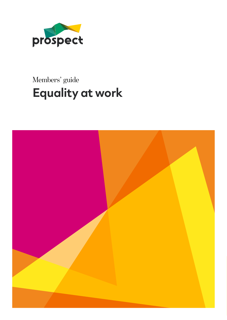

### Members' guide **Equality at work**

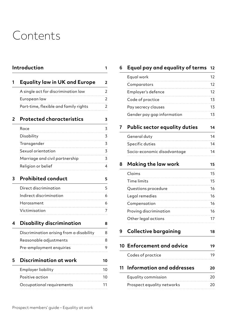### Contents

|   | Introduction                             |       |
|---|------------------------------------------|-------|
|   | <b>Equality law in UK and Europe</b>     | 2     |
|   | A single act for discrimination law      | 2     |
|   | European law                             | 2     |
|   | Part-time, flexible and family rights    | 2     |
| 2 | <b>Protected characteristics</b>         | 3     |
|   | Race                                     | 3     |
|   | Disability                               | 3     |
|   | Transgender                              | 3     |
|   | Sexual orientation                       | 3     |
|   | Marriage and civil partnership           | 3     |
|   | Religion or belief                       | 4     |
| 3 | <b>Prohibited conduct</b>                | 5     |
|   | Direct discrimination                    | 5     |
|   | Indirect discrimination                  | 6     |
|   | Harassment                               | 6<br> |
|   | Victimisation                            | 7     |
| 4 | <b>Disability discrimination</b>         | 8     |
|   | Discrimination arising from a disability | 8     |
|   | Reasonable adjustments                   | 8     |
|   | Pre-employment enquiries                 | 9     |
| 5 | Discrimination at work                   | 10    |
|   | Employer liability                       | 10    |
|   | Positive action                          | 10    |
|   | Occupational requirements                | 11    |
|   |                                          |       |

#### **6 [Equal pay and equality of terms](#page-13-0) 12**

|    | Equal work                    | 12 |
|----|-------------------------------|----|
|    | Comparators                   | 12 |
|    | Employer's defence            | 12 |
|    | Code of practice              | 13 |
|    | Pay secrecy clauses           | 13 |
|    | Gender pay gap information    | 13 |
| 7  | Public sector equality duties | 14 |
|    | General duty                  | 14 |
|    | Specific duties               | 14 |
|    | Socio-economic disadvantage   | 14 |
| 8  | Making the law work           | 15 |
|    | Claims                        | 15 |
|    | Time limits                   | 15 |
|    | Questions procedure           | 16 |
|    | Legal remedies                | 16 |
|    | Compensation                  | 16 |
|    | Proving discrimination        | 16 |
|    | Other legal actions           | 17 |
| 9  | <b>Collective bargaining</b>  | 18 |
| 10 | <b>Enforcement and advice</b> | 19 |
|    | Codes of practice             | 19 |
| 11 | Information and addresses     | 20 |
|    | Equality commission           | 20 |
|    | Prospect equality networks    | 20 |
|    |                               |    |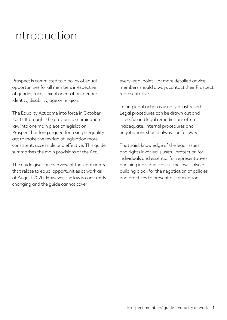### <span id="page-2-0"></span>Introduction

Prospect is committed to a policy of equal opportunities for all members irrespective of gender, race, sexual orientation, gender identity, disability, age or religion.

The Equality Act came into force in October 2010. It brought the previous discrimination law into one main piece of legislation. Prospect has long argued for a single equality act to make the myriad of legislation more consistent, accessible and effective. This guide summarises the main provisions of the Act.

The guide gives an overview of the legal rights that relate to equal opportunities at work as at August 2020. However, the law is constantly changing and the guide cannot cover

every legal point. For more detailed advice, members should always contact their Prospect representative.

Taking legal action is usually a last resort. Legal procedures can be drawn out and stressful and legal remedies are often inadequate. Internal procedures and negotiations should always be followed.

That said, knowledge of the legal issues and rights involved is useful protection for individuals and essential for representatives pursuing individual cases. The law is also a building block for the negotiation of policies and practices to prevent discrimination.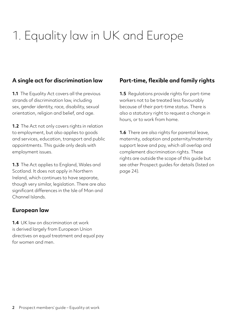# <span id="page-3-0"></span>1. Equality law in UK and Europe

#### **A single act for discrimination law**

**1.1** The Equality Act covers all the previous strands of discrimination law, including sex, gender identity, race, disability, sexual orientation, religion and belief, and age.

**1.2** The Act not only covers rights in relation to employment, but also applies to goods and services, education, transport and public appointments. This guide only deals with employment issues.

**1.3** The Act applies to England, Wales and Scotland. It does not apply in Northern Ireland, which continues to have separate, though very similar, legislation. There are also significant differences in the Isle of Man and Channel Islands.

#### **European law**

**1.4** UK law on discrimination at work is derived largely from European Union directives on equal treatment and equal pay for women and men.

#### **Part-time, flexible and family rights**

**1.5** Regulations provide rights for part-time workers not to be treated less favourably because of their part-time status. There is also a statutory right to request a change in hours, or to work from home.

**1.6** There are also rights for parental leave, maternity, adoption and paternity/maternity support leave and pay, which all overlap and complement discrimination rights. These rights are outside the scope of this guide but see other Prospect guides for details (listed on page 24).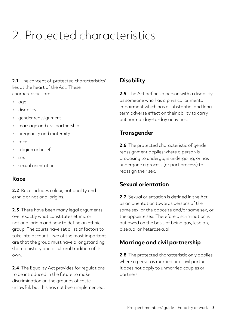# <span id="page-4-0"></span>2. Protected characteristics

2.1 The concept of 'protected characteristics' lies at the heart of the Act. These characteristics are:

- age
- disability
- gender reassignment
- marriage and civil partnership
- pregnancy and maternity
- race
- religion or belief
- sex
- sexual orientation

#### **Race**

**2.2** Race includes colour, nationality and ethnic or national origins.

**2.3** There have been many legal arguments over exactly what constitutes ethnic or national origin and how to define an ethnic group. The courts have set a list of factors to take into account. Two of the most important are that the group must have a longstanding shared history and a cultural tradition of its own.

**2.4** The Equality Act provides for regulations to be introduced in the future to make discrimination on the grounds of caste unlawful, but this has not been implemented.

#### **Disability**

**2.5** The Act defines a person with a disability as someone who has a physical or mental impairment which has a substantial and longterm adverse effect on their ability to carry out normal day-to-day activities.

#### **Transgender**

**2.6** The protected characteristic of gender reassignment applies where a person is proposing to undergo, is undergoing, or has undergone a process (or part process) to reassign their sex.

#### **Sexual orientation**

**2.7** Sexual orientation is defined in the Act as an orientation towards persons of the same sex, or the opposite and/or same sex, or the opposite sex. Therefore discrimination is outlawed on the basis of being gay, lesbian, bisexual or heterosexual.

#### **Marriage and civil partnership**

**2.8** The protected characteristic only applies where a person is married or a civil partner. It does not apply to unmarried couples or partners.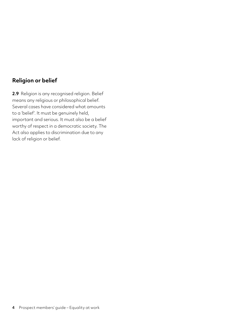#### <span id="page-5-0"></span>**Religion or belief**

**2.9** Religion is any recognised religion. Belief means any religious or philosophical belief. Several cases have considered what amounts to a 'belief'. It must be genuinely held, important and serious. It must also be a belief worthy of respect in a democratic society. The Act also applies to discrimination due to any lack of religion or belief.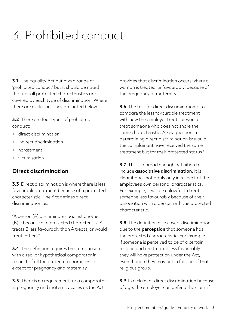# <span id="page-6-0"></span>3. Prohibited conduct

**3.1** The Equality Act outlaws a range of 'prohibited conduct' but it should be noted that not all protected characteristics are covered by each type of discrimination. Where there are exclusions they are noted below.

**3.2** There are four types of prohibited conduct:

- direct discrimination
- indirect discrimination
- harassment
- victimisation

#### **Direct discrimination**

**3.3** Direct discrimination is where there is less favourable treatment because of a protected characteristic. The Act defines direct discrimination as:

"A person (A) discriminates against another (B) if because of a protected characteristic A treats B less favourably than A treats, or would treat, others."

**3.4** The definition requires the comparison with a real or hypothetical comparator in respect of all the protected characteristics, except for pregnancy and maternity.

**3.5** There is no requirement for a comparator in pregnancy and maternity cases as the Act

provides that discrimination occurs where a woman is treated 'unfavourably' because of the pregnancy or maternity.

**3.6** The test for direct discrimination is to compare the less favourable treatment with how the employer treats or would treat someone who does not share the same characteristic. A key question in determining direct discrimination is: would the complainant have received the same treatment but for their protected status?

**3.7** This is a broad enough definition to include **associative discrimination**. It is clear it does not apply only in respect of the employee's own personal characteristics. For example, it will be unlawful to treat someone less favourably because of their association with a person with the protected characteristic.

**3.8** The definition also covers discrimination due to the **perception** that someone has the protected characteristic. For example if someone is perceived to be of a certain religion and are treated less favourably, they will have protection under the Act, even though they may not in fact be of that religious group.

**3.9** In a claim of direct discrimination because of age, the employer can defend the claim if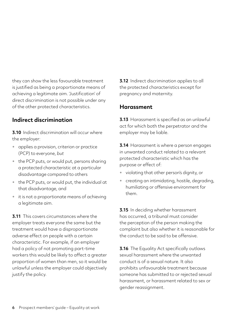<span id="page-7-0"></span>they can show the less favourable treatment is justified as being a proportionate means of achieving a legitimate aim. 'Justification' of direct discrimination is not possible under any of the other protected characteristics.

#### **Indirect discrimination**

**3.10** Indirect discrimination will occur where the employer:

- applies a provision, criterion or practice (PCP) to everyone, *but*
- the PCP puts, or would put, persons sharing a protected characteristic at a particular disadvantage compared to others
- the PCP puts, or would put, the individual at that disadvantage, and
- it is not a proportionate means of achieving a legitimate aim.

**3.11** This covers circumstances where the employer treats everyone the same but the treatment would have a disproportionate adverse effect on people with a certain characteristic. For example, if an employer had a policy of not promoting part-time workers this would be likely to affect a greater proportion of women than men, so it would be unlawful unless the employer could objectively justify the policy.

**3.12** Indirect discrimination applies to all the protected characteristics except for pregnancy and maternity.

#### **Harassment**

**3.13** Harassment is specified as an unlawful act for which both the perpetrator and the employer may be liable.

**3.14** Harassment is where a person engages in unwanted conduct related to a relevant protected characteristic which has the purpose or effect of:

- violating that other person's dignity, or
- creating an intimidating, hostile, degrading, humiliating or offensive environment for them.

**3.15** In deciding whether harassment has occurred, a tribunal must consider the perception of the person making the complaint but also whether it is reasonable for the conduct to be said to be offensive.

**3.16** The Equality Act specifically outlaws sexual harassment where the unwanted conduct is of a sexual nature. It also prohibits unfavourable treatment because someone has submitted to or rejected sexual harassment, or harassment related to sex or gender reassignment.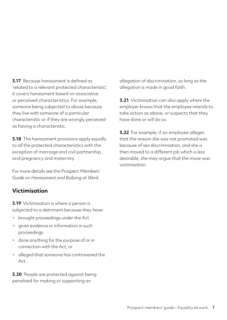<span id="page-8-0"></span>**3.17** Because harassment is defined as 'related to a relevant protected characteristic', it covers harassment based on associative or perceived characteristics. For example, someone being subjected to abuse because they live with someone of a particular characteristic or if they are wrongly perceived as having a characteristic.

**3.18** The harassment provisions apply equally to all the protected characteristics with the exception of marriage and civil partnership, and pregnancy and maternity.

For more details see the Prospect *Members' Guide on Harassment and Bullying at Work.*

#### **Victimisation**

**3.19** Victimisation is where a person is subjected to a detriment because they have:

- brought proceedings under the Act
- given evidence or information in such proceedings
- done anything for the purpose of or in connection with the Act, or
- alleged that someone has contravened the  $Act$

**3.20** People are protected against being penalised for making or supporting an

allegation of discrimination, so long as the allegation is made in good faith.

**3.21** Victimisation can also apply where the employer knows that the employee intends to take action as above, or suspects that they have done or will do so.

**3.22** For example, if an employee alleges that the reason she was not promoted was because of sex discrimination, and she is then moved to a different job which is less desirable, she may argue that the move was victimisation.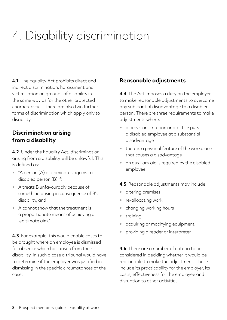# <span id="page-9-0"></span>4. Disability discrimination

**4.1** The Equality Act prohibits direct and indirect discrimination, harassment and victimisation on grounds of disability in the same way as for the other protected characteristics. There are also two further forms of discrimination which apply only to disability.

#### **Discrimination arising from a disability**

**4.2** Under the Equality Act, discrimination arising from a disability will be unlawful. This is defined as:

- "A person (A) discriminates against a disabled person (B) if:
- A treats B unfavourably because of something arising in consequence of B's disability, and
- A cannot show that the treatment is a proportionate means of achieving a legitimate aim."

**4.3** For example, this would enable cases to be brought where an employee is dismissed for absence which has arisen from their disability. In such a case a tribunal would have to determine if the employer was justified in dismissing in the specific circumstances of the case.

#### **Reasonable adjustments**

**4.4** The Act imposes a duty on the employer to make reasonable adjustments to overcome any substantial disadvantage to a disabled person. There are three requirements to make adjustments where:

- a provision, criterion or practice puts a disabled employee at a substantial disadvantage
- there is a physical feature of the workplace that causes a disadvantage
- an auxiliary aid is required by the disabled employee.
- **4.5** Reasonable adjustments may include:
- altering premises
- re-allocating work
- changing working hours
- training
- acquiring or modifying equipment
- providing a reader or interpreter.

**4.6** There are a number of criteria to be considered in deciding whether it would be reasonable to make the adjustment. These include its practicability for the employer, its costs, effectiveness for the employee and disruption to other activities.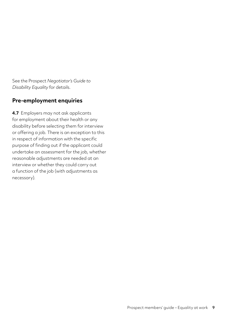<span id="page-10-0"></span>See the Prospect *Negotiator's Guide to Disability Equality* for details.

#### **Pre-employment enquiries**

**4.7** Employers may not ask applicants for employment about their health or any disability before selecting them for interview or offering a job. There is an exception to this in respect of information with the specific purpose of finding out if the applicant could undertake an assessment for the job, whether reasonable adjustments are needed at an interview or whether they could carry out a function of the job (with adjustments as necessary).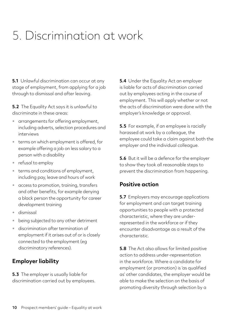## <span id="page-11-0"></span>5. Discrimination at work

**5.1** Unlawful discrimination can occur at any stage of employment, from applying for a job through to dismissal and after leaving.

**5.2** The Equality Act says it is unlawful to discriminate in these areas:

- arrangements for offering employment, including adverts, selection procedures and interviews
- terms on which employment is offered, for example offering a job on less salary to a person with a disability
- refusal to employ
- terms and conditions of employment, including pay, leave and hours of work
- access to promotion, training, transfers and other benefits, for example denying a black person the opportunity for career development training
- dismissal
- being subjected to any other detriment
- discrimination after termination of employment if it arises out of or is closely connected to the employment (eg discriminatory references).

#### **Employer liability**

**5.3** The employer is usually liable for discrimination carried out by employees. **5.4** Under the Equality Act an employer is liable for acts of discrimination carried out by employees acting in the course of employment. This will apply whether or not the acts of discrimination were done with the employer's knowledge or approval.

**5.5** For example, if an employee is racially harassed at work by a colleague, the employee could take a claim against both the employer and the individual colleague.

**5.6** But it will be a defence for the employer to show they took all reasonable steps to prevent the discrimination from happening.

#### **Positive action**

**5.7** Employers may encourage applications for employment and can target training opportunities to people with a protected characteristic, where they are underrepresented in the workforce or if they encounter disadvantage as a result of the characteristic.

**5.8** The Act also allows for limited positive action to address under-representation in the workforce. Where a candidate for employment (or promotion) is 'as qualified as' other candidates, the employer would be able to make the selection on the basis of promoting diversity through selection by a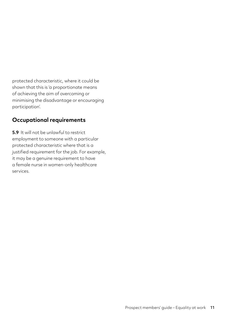<span id="page-12-0"></span>protected characteristic, where it could be shown that this is 'a proportionate means of achieving the aim of overcoming or minimising the disadvantage or encouraging participation'.

#### **Occupational requirements**

**5.9** It will not be unlawful to restrict employment to someone with a particular protected characteristic where that is a justified requirement for the job. For example, it may be a genuine requirement to have a female nurse in women-only healthcare services.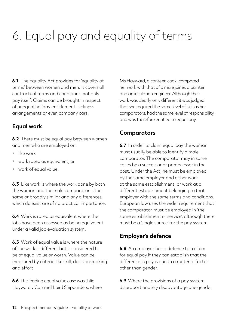# <span id="page-13-0"></span>6. Equal pay and equality of terms

**6.1** The Equality Act provides for 'equality of terms' between women and men. It covers all contractual terms and conditions, not only pay itself. Claims can be brought in respect of unequal holiday entitlement, sickness arrangements or even company cars.

#### **Equal work**

**6.2** There must be equal pay between women and men who are employed on:

- like work
- work rated as equivalent, or
- work of equal value.

**6.3** Like work is where the work done by both the woman and the male comparator is the same or broadly similar and any differences which do exist are of no practical importance.

**6.4** Work is rated as equivalent where the jobs have been assessed as being equivalent under a valid job evaluation system.

**6.5** Work of equal value is where the nature of the work is different but is considered to be of equal value or worth. Value can be measured by criteria like skill, decision-making and effort.

**6.6** The leading equal value case was Julie Hayward v Cammell Laird Shipbuilders, where Ms Hayward, a canteen cook, compared her work with that of a male joiner, a painter and an insulation engineer. Although their work was clearly very different it was judged that she required the same level of skill as her comparators, had the same level of responsibility, and was therefore entitled to equal pay.

#### **Comparators**

**6.7** In order to claim equal pay the woman must usually be able to identify a male comparator. The comparator may in some cases be a successor or predecessor in the post. Under the Act, he must be employed by the same employer and either work at the same establishment, or work at a different establishment belonging to that employer with the same terms and conditions. European law uses the wider requirement that the comparator must be employed in 'the same establishment or service', although there must be a 'single source' for the pay system.

#### **Employer's defence**

**6.8** An employer has a defence to a claim for equal pay if they can establish that the difference in pay is due to a material factor other than gender.

**6.9** Where the provisions of a pay system disproportionately disadvantage one gender,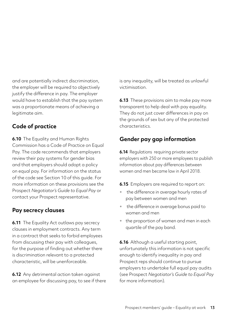<span id="page-14-0"></span>and are potentially indirect discrimination, the employer will be required to objectively justify the difference in pay. The employer would have to establish that the pay system was a proportionate means of achieving a legitimate aim.

#### **Code of practice**

**6.10** The Equality and Human Rights Commission has a Code of Practice on Equal Pay. The code recommends that employers review their pay systems for gender bias and that employers should adopt a policy on equal pay. For information on the status of the code see Section 10 of this guide. For more information on these provisions see the Prospect *Negotiator's Guide to Equal Pay* or contact your Prospect representative.

#### **Pay secrecy clauses**

**6.11** The Equality Act outlaws pay secrecy clauses in employment contracts. Any term in a contract that seeks to forbid employees from discussing their pay with colleagues, for the purpose of finding out whether there is discrimination relevant to a protected characteristic, will be unenforceable.

**6.12** Any detrimental action taken against an employee for discussing pay, to see if there is any inequality, will be treated as unlawful victimisation.

**6.13** These provisions aim to make pay more transparent to help deal with pay equality. They do not just cover differences in pay on the grounds of sex but any of the protected characteristics.

#### **Gender pay gap information**

**6.14** Regulations requiring private sector employers with 250 or more employees to publish information about pay differences between women and men became law in April 2018.

**6.15** Employers are required to report on:

- the difference in average hourly rates of pay between women and men
- the difference in average bonus paid to women and men
- the proportion of women and men in each quartile of the pay band.

**6.16** Although a useful starting point, unfortunately this information is not specific enough to identify inequality in pay and Prospect reps should continue to pursue employers to undertake full equal pay audits (see Prospect *[Negotiator's Guide to Equal Pay](https://library.prospect.org.uk/download/2006/00699)* for more information).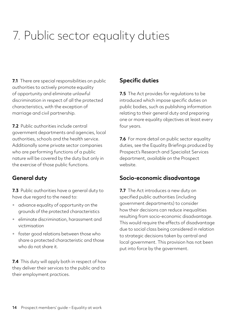# <span id="page-15-0"></span>7. Public sector equality duties

**7.1** There are special responsibilities on public authorities to actively promote equality of opportunity and eliminate unlawful discrimination in respect of all the protected characteristics, with the exception of marriage and civil partnership.

**7.2** Public authorities include central government departments and agencies, local authorities, schools and the health service. Additionally some private sector companies who are performing functions of a public nature will be covered by the duty but only in the exercise of those public functions.

#### **General duty**

**7.3** Public authorities have a general duty to have due regard to the need to:

- advance equality of opportunity on the grounds of the protected characteristics
- eliminate discrimination, harassment and victimisation
- foster good relations between those who share a protected characteristic and those who do not share it.

**7.4** This duty will apply both in respect of how they deliver their services to the public and to their employment practices.

#### **Specific duties**

**7.5** The Act provides for regulations to be introduced which impose specific duties on public bodies, such as publishing information relating to their general duty and preparing one or more equality objectives at least every four years.

**7.6** For more detail on public sector equality duties, see the Equality Briefings produced by Prospect's Research and Specialist Services department, available on the Prospect website.

#### **Socio-economic disadvantage**

**7.7** The Act introduces a new duty on specified public authorities (including government departments) to consider how their decisions can reduce inequalities resulting from socio-economic disadvantage. This would require the effects of disadvantage due to social class being considered in relation to strategic decisions taken by central and local government. This provision has not been put into force by the government.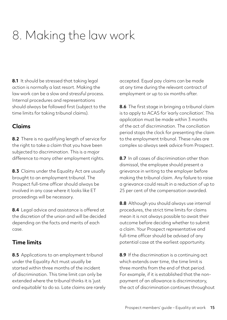# <span id="page-16-0"></span>8. Making the law work

**8.1** It should be stressed that taking legal action is normally a last resort. Making the law work can be a slow and stressful process. Internal procedures and representations should always be followed first (subject to the time limits for taking tribunal claims).

#### **Claims**

**8.2** There is no qualifying length of service for the right to take a claim that you have been subjected to discrimination. This is a major difference to many other employment rights.

**8.3** Claims under the Equality Act are usually brought to an employment tribunal. The Prospect full-time officer should always be involved in any case where it looks like ET proceedings will be necessary.

**8.4** Legal advice and assistance is offered at the discretion of the union and will be decided depending on the facts and merits of each case.

#### **Time limits**

**8.5** Applications to an employment tribunal under the Equality Act must usually be started within three months of the incident of discrimination. This time limit can only be extended where the tribunal thinks it is 'just and equitable' to do so. Late claims are rarely accepted. Equal pay claims can be made at any time during the relevant contract of employment or up to six months after.

**8.6** The first stage in bringing a tribunal claim is to apply to ACAS for 'early conciliation'. This application must be made within 3 months of the act of discrimination. The conciliation period stops the clock for presenting the claim to the employment tribunal. These rules are complex so always seek advice from Prospect.

**8.7** In all cases of discrimination other than dismissal, the employee should present a grievance in writing to the employer before making the tribunal claim. Any failure to raise a grievance could result in a reduction of up to 25 per cent of the compensation awarded.

**8.8** Although you should always use internal procedures, the strict time limits for claims mean it is not always possible to await their outcome before deciding whether to submit a claim. Your Prospect representative and full-time officer should be advised of any potential case at the earliest opportunity.

**8.9** If the discrimination is a continuing act which extends over time, the time limit is three months from the end of that period. For example, if it is established that the nonpayment of an allowance is discriminatory, the act of discrimination continues throughout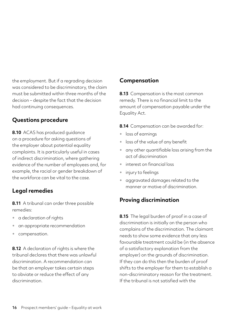<span id="page-17-0"></span>the employment. But if a regrading decision was considered to be discriminatory, the claim must be submitted within three months of the decision – despite the fact that the decision had continuing consequences.

#### **Questions procedure**

**8.10** ACAS has produced guidance on a procedure for asking questions of the employer about potential equality complaints. It is particularly useful in cases of indirect discrimination, where gathering evidence of the number of employees and, for example, the racial or gender breakdown of the workforce can be vital to the case.

#### **Legal remedies**

**8.11** A tribunal can order three possible remedies:

- a declaration of rights
- an appropriate recommendation
- compensation.

**8.12** A declaration of rights is where the tribunal declares that there was unlawful discrimination. A recommendation can be that an employer takes certain steps to obviate or reduce the effect of any discrimination.

#### **Compensation**

**8.13** Compensation is the most common remedy. There is no financial limit to the amount of compensation payable under the Equality Act.

**8.14** Compensation can be awarded for:

- loss of earnings
- loss of the value of any benefit
- any other quantifiable loss arising from the act of discrimination
- interest on financial loss
- injury to feelings
- aggravated damages related to the manner or motive of discrimination.

#### **Proving discrimination**

**8.15** The legal burden of proof in a case of discrimination is initially on the person who complains of the discrimination. The claimant needs to show some evidence that any less favourable treatment could be (in the absence of a satisfactory explanation from the employer) on the grounds of discrimination. If they can do this then the burden of proof shifts to the employer for them to establish a non-discriminatory reason for the treatment. If the tribunal is not satisfied with the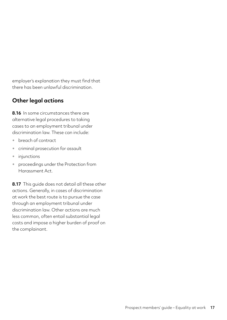<span id="page-18-0"></span>employer's explanation they must find that there has been unlawful discrimination.

#### **Other legal actions**

**8.16** In some circumstances there are alternative legal procedures to taking cases to an employment tribunal under discrimination law. These can include:

- breach of contract
- criminal prosecution for assault
- injunctions
- proceedings under the Protection from Harassment Act.

**8.17** This guide does not detail all these other actions. Generally, in cases of discrimination at work the best route is to pursue the case through an employment tribunal under discrimination law. Other actions are much less common, often entail substantial legal costs and impose a higher burden of proof on the complainant.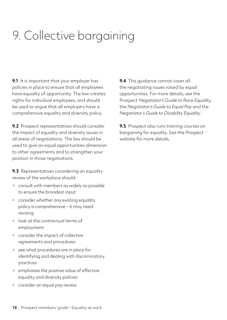# <span id="page-19-0"></span>9. Collective bargaining

**9.1** It is important that your employer has policies in place to ensure that all employees have equality of opportunity. The law creates rights for individual employees, and should be used to argue that all employers have a comprehensive equality and diversity policy.

**9.2** Prospect representatives should consider the impact of equality and diversity issues in all areas of negotiations. The law should be used to give an equal opportunities dimension to other agreements and to strengthen your position in those negotiations.

**9.3** Representatives considering an equality review of the workplace should:

- consult with members as widely as possible to ensure the broadest input
- consider whether any existing equality policy is comprehensive – it may need revising
- look at the contractual terms of employment
- consider the impact of collective agreements and procedures
- see what procedures are in place for identifying and dealing with discriminatory practices
- emphasise the positive value of effective equality and diversity policies
- consider an equal pay review.

**9.4** This guidance cannot cover all the negotiating issues raised by equal opportunities. For more details, see the Prospect *Negotiator's Guide to Race Equality,*  the *Negotiator's Guide to Equal Pay* and the *Negotiator's Guide to Disability Equality.*

**9.5** Prospect also runs training courses on bargaining for equality. See the Prospect website for more details.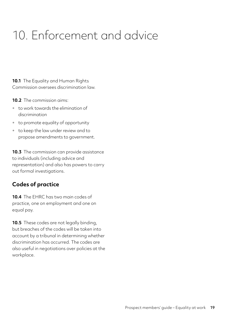# <span id="page-20-0"></span>10. Enforcement and advice

**10.1** The Equality and Human Rights Commission oversees discrimination law.

**10.2** The commission aims:

- to work towards the elimination of discrimination
- to promote equality of opportunity
- to keep the law under review and to propose amendments to government.

**10.3** The commission can provide assistance to individuals (including advice and representation) and also has powers to carry out formal investigations.

#### **Codes of practice**

**10.4** The EHRC has two main codes of practice, one on employment and one on equal pay.

**10.5** These codes are not legally binding, but breaches of the codes will be taken into account by a tribunal in determining whether discrimination has occurred. The codes are also useful in negotiations over policies at the workplace.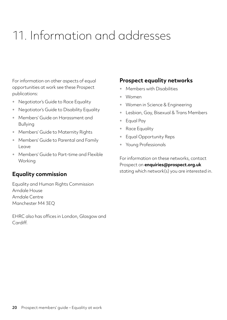# <span id="page-21-0"></span>11. Information and addresses

For information on other aspects of equal opportunities at work see these Prospect publications:

- Negotiator's Guide to Race Equality
- Negotiator's Guide to Disability Equality
- Members' Guide on Harassment and Bullying
- Members' Guide to Maternity Rights
- Members' Guide to Parental and Family Leave
- Members' Guide to Part-time and Flexible Working

#### **Equality commission**

Equality and Human Rights Commission Arndale House Arndale Centre Manchester M4 3EQ

EHRC also has offices in London, Glasgow and Cardiff.

#### **Prospect equality networks**

- Members with Disabilities
- Women
- Women in Science & Engineering
- Lesbian, Gay, Bisexual & Trans Members
- Equal Pay
- Race Equality
- Equal Opportunity Reps
- Young Professionals

For information on these networks, contact Prospect on **[enquiries@prospect.org.uk](mailto:enquiries%40prospect.org.uk?subject=)** stating which network(s) you are interested in.